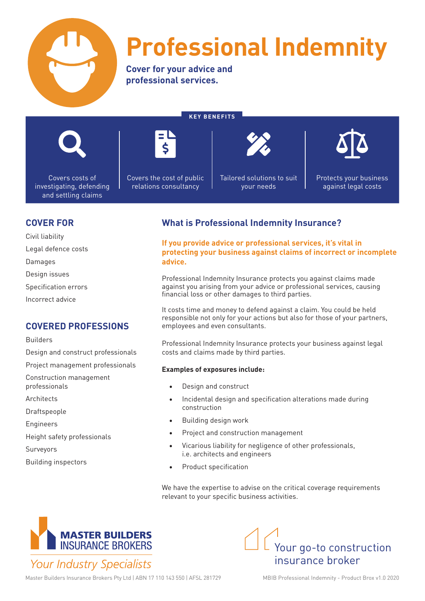

# **Professional Indemnity**

**Cover for your advice and professional services.**

**KEY BENEFITS**



Covers costs of investigating, defending and settling claims



Covers the cost of public relations consultancy

Tailored solutions to suit your needs



Protects your business against legal costs

### **COVER FOR**

Civil liability

Legal defence costs

Damages

Design issues

Specification errors

Incorrect advice

## **COVERED PROFESSIONS**

Builders

Design and construct professionals

Project management professionals

Construction management professionals

Architects

Draftspeople

Engineers

Height safety professionals

**Surveyors** 

Building inspectors

# **What is Professional Indemnity Insurance?**

**If you provide advice or professional services, it's vital in protecting your business against claims of incorrect or incomplete advice.**

Professional Indemnity Insurance protects you against claims made against you arising from your advice or professional services, causing financial loss or other damages to third parties.

It costs time and money to defend against a claim. You could be held responsible not only for your actions but also for those of your partners, employees and even consultants.

Professional Indemnity Insurance protects your business against legal costs and claims made by third parties.

#### **Examples of exposures include:**

- Design and construct
- Incidental design and specification alterations made during construction
- Building design work
- Project and construction management
- Vicarious liability for negligence of other professionals, i.e. architects and engineers
- Product specification

We have the expertise to advise on the critical coverage requirements relevant to your specific business activities.





Master Builders Insurance Brokers Pty Ltd | ABN 17 110 143 550 | AFSL 281729